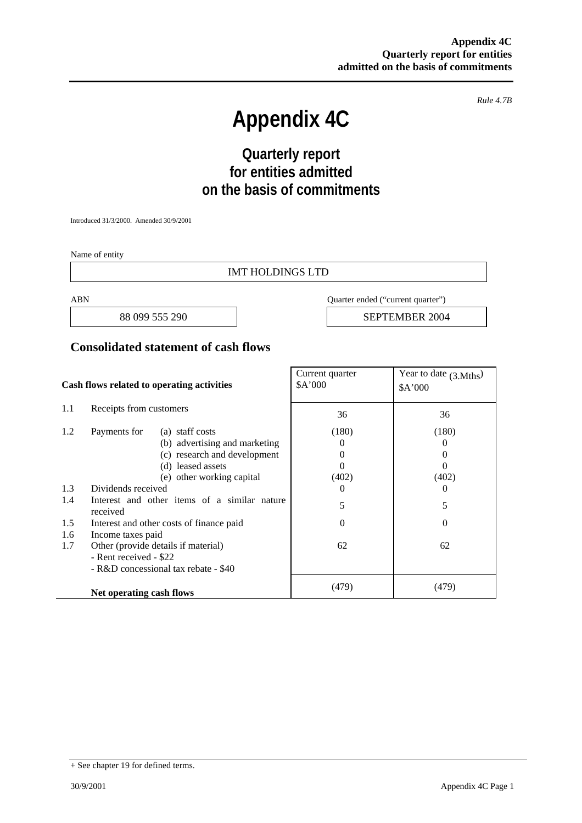*Rule 4.7B* 

# **Appendix 4C**

# **Quarterly report for entities admitted on the basis of commitments**

Introduced 31/3/2000. Amended 30/9/2001

Name of entity

#### IMT HOLDINGS LTD

ABN Quarter ended ("current quarter")

88 099 555 290 **SEPTEMBER 2004** 

#### **Consolidated statement of cash flows**

| Cash flows related to operating activities                                                                   |                                                                                                                       | Current quarter<br>\$A'000         | Year to date $(3. Mths)$<br>\$A'000       |
|--------------------------------------------------------------------------------------------------------------|-----------------------------------------------------------------------------------------------------------------------|------------------------------------|-------------------------------------------|
| 1.1                                                                                                          | Receipts from customers                                                                                               | 36                                 | 36                                        |
| 1.2                                                                                                          | Payments for<br>(a) staff costs<br>(b) advertising and marketing<br>(c) research and development<br>(d) leased assets | (180)<br>$\theta$<br>$\theta$<br>0 | (180)<br>$\theta$<br>$\theta$<br>$\theta$ |
|                                                                                                              | (e) other working capital                                                                                             | (402)                              | (402)                                     |
| 1.3                                                                                                          | Dividends received                                                                                                    | $\Omega$                           | $\theta$                                  |
| 1.4                                                                                                          | Interest and other items of a similar nature<br>received                                                              | 5                                  | 5                                         |
| 1.5<br>1.6                                                                                                   | Interest and other costs of finance paid<br>Income taxes paid                                                         | $\theta$                           | $\Omega$                                  |
| 1.7<br>Other (provide details if material)<br>- Rent received - \$22<br>- R&D concessional tax rebate - \$40 |                                                                                                                       | 62                                 | 62                                        |
|                                                                                                              | Net operating cash flows                                                                                              | (479)                              | (479)                                     |

<sup>+</sup> See chapter 19 for defined terms.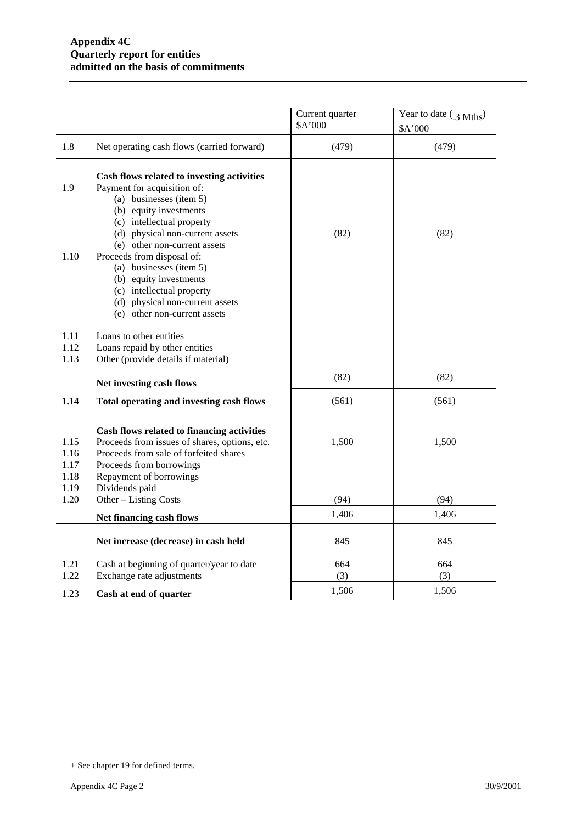|                                      |                                                                                                                                                                                                                                | Current quarter<br>\$A'000 | Year to date $(3 \text{ Mths})$<br>\$A'000 |
|--------------------------------------|--------------------------------------------------------------------------------------------------------------------------------------------------------------------------------------------------------------------------------|----------------------------|--------------------------------------------|
| 1.8                                  | Net operating cash flows (carried forward)                                                                                                                                                                                     | (479)                      | (479)                                      |
| 1.9                                  | Cash flows related to investing activities<br>Payment for acquisition of:<br>(a) businesses (item 5)<br>(b) equity investments<br>(c) intellectual property<br>(d) physical non-current assets<br>(e) other non-current assets | (82)                       | (82)                                       |
| 1.10                                 | Proceeds from disposal of:<br>(a) businesses (item 5)<br>(b) equity investments<br>(c) intellectual property<br>(d) physical non-current assets<br>(e) other non-current assets                                                |                            |                                            |
| 1.11<br>1.12<br>1.13                 | Loans to other entities<br>Loans repaid by other entities<br>Other (provide details if material)                                                                                                                               |                            |                                            |
|                                      | Net investing cash flows                                                                                                                                                                                                       | (82)                       | (82)                                       |
| 1.14                                 | Total operating and investing cash flows                                                                                                                                                                                       | (561)                      | (561)                                      |
| 1.15<br>1.16<br>1.17<br>1.18<br>1.19 | Cash flows related to financing activities<br>Proceeds from issues of shares, options, etc.<br>Proceeds from sale of forfeited shares<br>Proceeds from borrowings<br>Repayment of borrowings<br>Dividends paid                 | 1,500                      | 1,500                                      |
| 1.20                                 | Other - Listing Costs                                                                                                                                                                                                          | (94)                       | (94)                                       |
|                                      | Net financing cash flows                                                                                                                                                                                                       | 1,406                      | 1,406                                      |
|                                      | Net increase (decrease) in cash held                                                                                                                                                                                           | 845                        | 845                                        |
| 1.21<br>1.22                         | Cash at beginning of quarter/year to date<br>Exchange rate adjustments                                                                                                                                                         | 664<br>(3)                 | 664<br>(3)                                 |
| 1.23                                 | Cash at end of quarter                                                                                                                                                                                                         | 1,506                      | 1,506                                      |

<sup>+</sup> See chapter 19 for defined terms.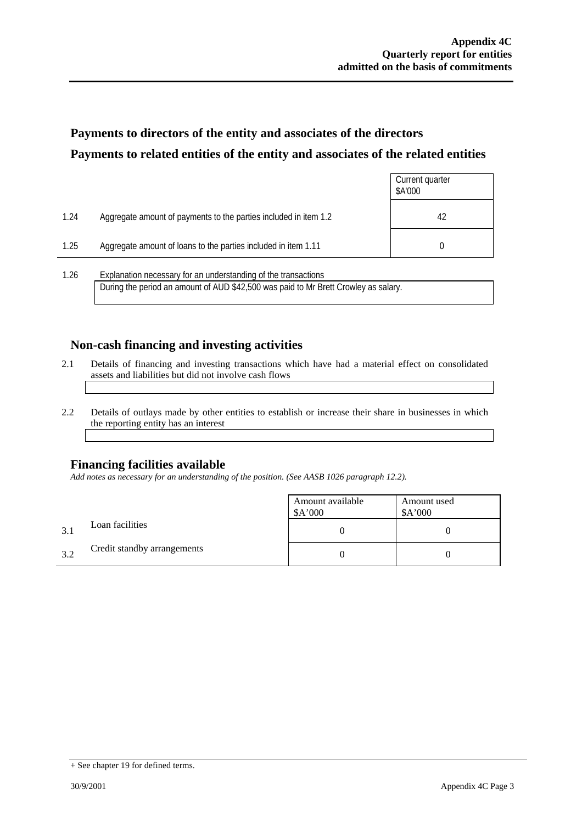## **Payments to directors of the entity and associates of the directors Payments to related entities of the entity and associates of the related entities**

|      |                                                                  | Current quarter<br>\$A'000 |
|------|------------------------------------------------------------------|----------------------------|
| 1.24 | Aggregate amount of payments to the parties included in item 1.2 | 42                         |
| 1.25 | Aggregate amount of loans to the parties included in item 1.11   |                            |
| 1 26 | Explanation necessary for an understanding of the transactions.  |                            |

1.26 Explanation necessary for an understanding of the transactions During the period an amount of AUD \$42,500 was paid to Mr Brett Crowley as salary.

#### **Non-cash financing and investing activities**

- 2.1 Details of financing and investing transactions which have had a material effect on consolidated assets and liabilities but did not involve cash flows
- 2.2 Details of outlays made by other entities to establish or increase their share in businesses in which the reporting entity has an interest

#### **Financing facilities available**

*Add notes as necessary for an understanding of the position. (See AASB 1026 paragraph 12.2).* 

|     |                             | Amount available<br>\$A'000 | Amount used<br>\$A'000 |
|-----|-----------------------------|-----------------------------|------------------------|
| 3.1 | Loan facilities             |                             |                        |
| 3.2 | Credit standby arrangements |                             |                        |

<sup>+</sup> See chapter 19 for defined terms.